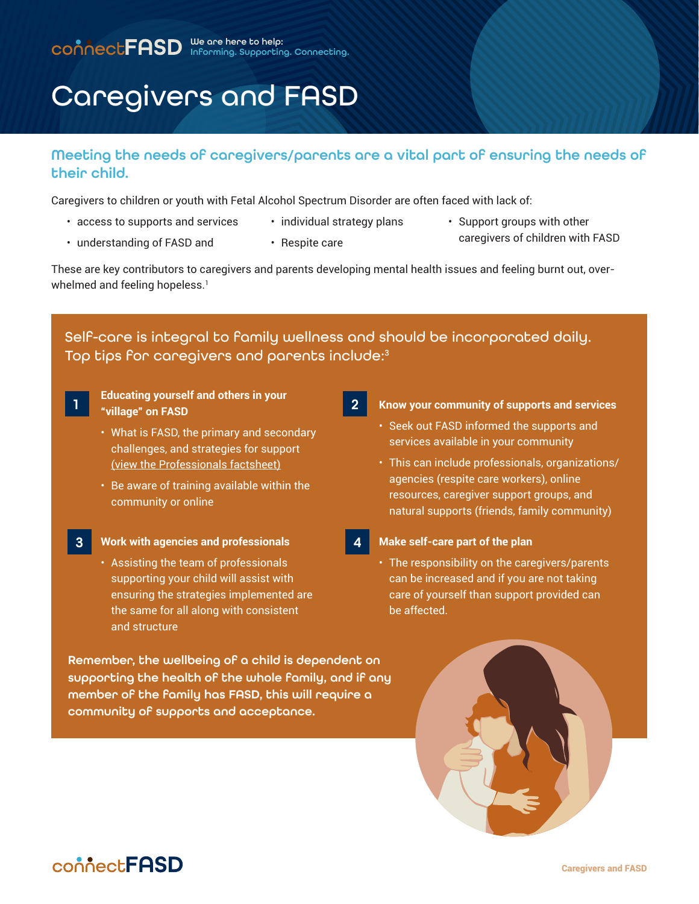# Caregivers and FASD

### Meeting the needs of caregivers/parents are a vital part of ensuring the needs of their child.

Caregivers to children or youth with Fetal Alcohol Spectrum Disorder are often faced with lack of:

• access to supports and services

• understanding of FASD and

• individual strategy plans

• Respite care

• Support groups with other caregivers of children with FASD

These are key contributors to caregivers and parents developing mental health issues and feeling burnt out, overwhelmed and feeling hopeless.<sup>1</sup>

Self-care is integral to family wellness and should be incorporated daily. Top tips for caregivers and parents include: 3

- 
- **Educating yourself and others in your "village" on FASD**
- What is FASD, the primary and secondary challenges, and strategies for support [\(view the Professionals factsheet\)](http://connectfasd.ca/factsheets)
- Be aware of training available within the community or online
- **Work with agencies and professionals**  3 **Make self-care part of the plan**
	- Assisting the team of professionals supporting your child will assist with ensuring the strategies implemented are the same for all along with consistent and structure

Remember, the wellbeing of a child is dependent on supporting the health of the whole family, and if any member of the family has FASD, this will require a community of supports and acceptance.

## 2

4

#### 1 **Know your community of supports and services**

- Seek out FASD informed the supports and services available in your community
- This can include professionals, organizations/ agencies (respite care workers), online resources, caregiver support groups, and natural supports (friends, family community)
- 

• The responsibility on the caregivers/parents can be increased and if you are not taking care of yourself than support provided can be affected.



# connect**FASD**